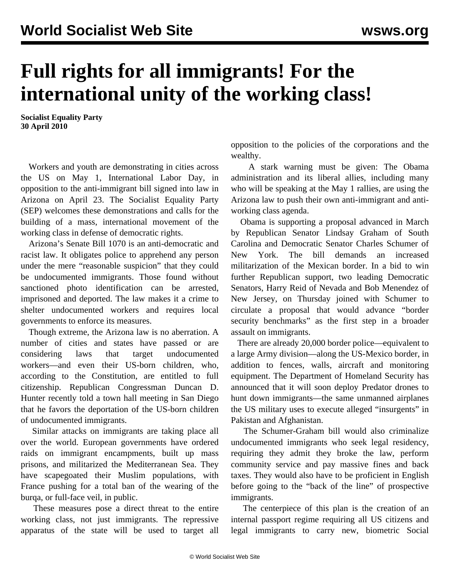# **Full rights for all immigrants! For the international unity of the working class!**

**Socialist Equality Party 30 April 2010**

 Workers and youth are demonstrating in cities across the US on May 1, International Labor Day, in opposition to the anti-immigrant bill signed into law in Arizona on April 23. The Socialist Equality Party (SEP) welcomes these demonstrations and calls for the building of a mass, international movement of the working class in defense of democratic rights.

 Arizona's Senate Bill 1070 is an anti-democratic and racist law. It obligates police to apprehend any person under the mere "reasonable suspicion" that they could be undocumented immigrants. Those found without sanctioned photo identification can be arrested, imprisoned and deported. The law makes it a crime to shelter undocumented workers and requires local governments to enforce its measures.

 Though extreme, the Arizona law is no aberration. A number of cities and states have passed or are considering laws that target undocumented workers—and even their US-born children, who, according to the Constitution, are entitled to full citizenship. Republican Congressman Duncan D. Hunter recently told a town hall meeting in San Diego that he favors the deportation of the US-born children of undocumented immigrants.

 Similar attacks on immigrants are taking place all over the world. European governments have ordered raids on immigrant encampments, built up mass prisons, and militarized the Mediterranean Sea. They have scapegoated their Muslim populations, with France pushing for a total ban of the wearing of the burqa, or full-face veil, in public.

 These measures pose a direct threat to the entire working class, not just immigrants. The repressive apparatus of the state will be used to target all opposition to the policies of the corporations and the wealthy.

 A stark warning must be given: The Obama administration and its liberal allies, including many who will be speaking at the May 1 rallies, are using the Arizona law to push their own anti-immigrant and antiworking class agenda.

 Obama is supporting a proposal advanced in March by Republican Senator Lindsay Graham of South Carolina and Democratic Senator Charles Schumer of New York. The bill demands an increased militarization of the Mexican border. In a bid to win further Republican support, two leading Democratic Senators, Harry Reid of Nevada and Bob Menendez of New Jersey, on Thursday joined with Schumer to circulate a proposal that would advance "border security benchmarks" as the first step in a broader assault on immigrants.

 There are already 20,000 border police—equivalent to a large Army division—along the US-Mexico border, in addition to fences, walls, aircraft and monitoring equipment. The Department of Homeland Security has announced that it will soon deploy Predator drones to hunt down immigrants—the same unmanned airplanes the US military uses to execute alleged "insurgents" in Pakistan and Afghanistan.

 The Schumer-Graham bill would also criminalize undocumented immigrants who seek legal residency, requiring they admit they broke the law, perform community service and pay massive fines and back taxes. They would also have to be proficient in English before going to the "back of the line" of prospective immigrants.

 The centerpiece of this plan is the creation of an internal passport regime requiring all US citizens and legal immigrants to carry new, biometric Social